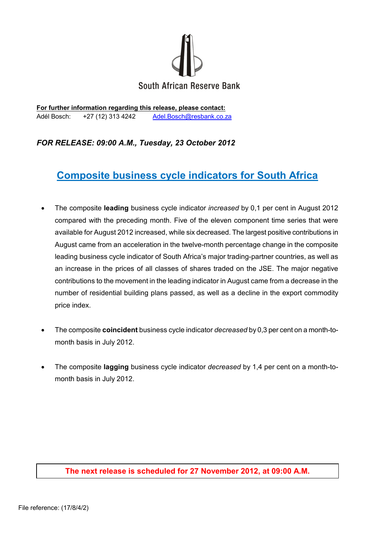

**For further information regarding this release, please contact:** Adél Bosch: +27 (12) 313 4242 [Adel.Bosch@resbank.co.za](mailto:Adel.Bosch@resbank.co.za)

### *FOR RELEASE: 09:00 A.M., Tuesday, 23 October 2012*

# **Composite business cycle indicators for South Africa**

- The composite **leading** business cycle indicator *increased* by 0,1 per cent in August 2012 compared with the preceding month. Five of the eleven component time series that were available for August 2012 increased, while six decreased. The largest positive contributions in August came from an acceleration in the twelve-month percentage change in the composite leading business cycle indicator of South Africa's major trading-partner countries, as well as an increase in the prices of all classes of shares traded on the JSE. The major negative contributions to the movement in the leading indicator in August came from a decrease in the number of residential building plans passed, as well as a decline in the export commodity price index.
- The composite **coincident** business cycle indicator *decreased* by 0,3 per cent on a month-tomonth basis in July 2012.
- The composite **lagging** business cycle indicator *decreased* by 1,4 per cent on a month-tomonth basis in July 2012.

#### **The next release is scheduled for 27 November 2012, at 09:00 A.M.**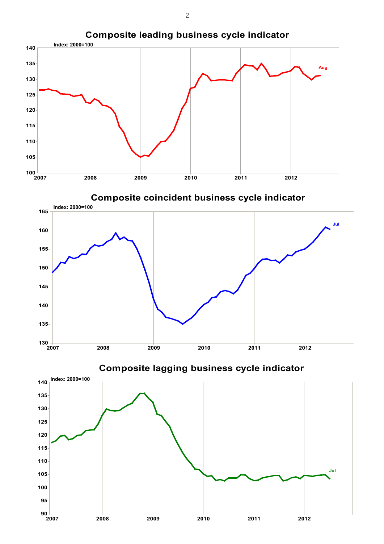

**Composite coincident business cycle indicator Composite coincident business cycle indicator**



**Composite lagging business cycle indicator lagging business cycle indicator**